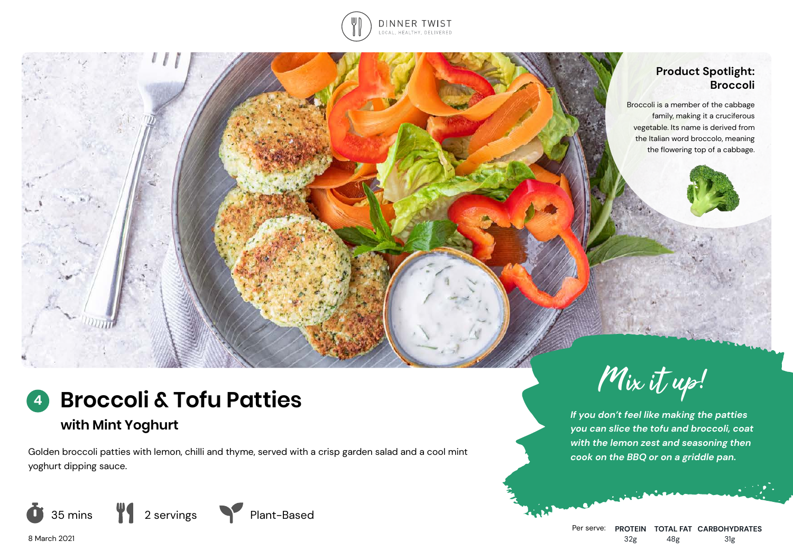

## **Product Spotlight: Broccoli**

Broccoli is a member of the cabbage family, making it a cruciferous vegetable. Its name is derived from the Italian word broccolo, meaning the flowering top of a cabbage.



# **with Mint Yoghurt**

Golden broccoli patties with lemon, chilli and thyme, served with a crisp garden salad and a cool mint yoghurt dipping sauce.





*If you don't feel like making the patties you can slice the tofu and broccoli, coat with the lemon zest and seasoning then cook on the BBQ or on a griddle pan.*